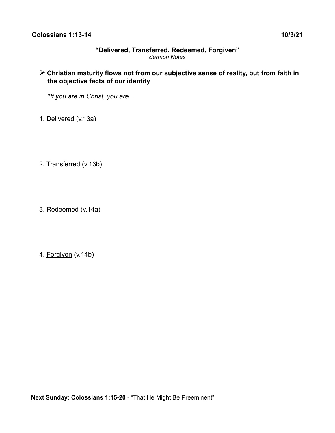### **"Delivered, Transferred, Redeemed, Forgiven"** *Sermon Notes*

# ➢ **Christian maturity flows not from our subjective sense of reality, but from faith in the objective facts of our identity**

*\*If you are in Christ, you are…*

- 1. Delivered (v.13a)
- 2. Transferred (v.13b)
- 3. Redeemed (v.14a)
- 4. Forgiven (v.14b)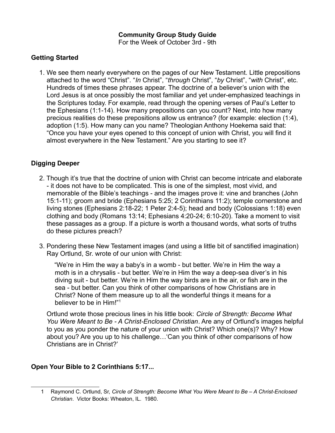## **Getting Started**

1. We see them nearly everywhere on the pages of our New Testament. Little prepositions attached to the word "Christ". "*In* Christ", "*through* Christ", "*by* Christ", "*with* Christ", etc. Hundreds of times these phrases appear. The doctrine of a believer's union with the Lord Jesus is at once possibly the most familiar and yet under-emphasized teachings in the Scriptures today. For example, read through the opening verses of Paul's Letter to the Ephesians (1:1-14). How many prepositions can you count? Next, into how many precious realities do these prepositions allow us entrance? (for example: election (1:4), adoption (1:5). How many can you name? Theologian Anthony Hoekema said that: "Once you have your eyes opened to this concept of union with Christ, you will find it almost everywhere in the New Testament." Are you starting to see it?

## **Digging Deeper**

- 2. Though it's true that the doctrine of union with Christ can become intricate and elaborate - it does not have to be complicated. This is one of the simplest, most vivid, and memorable of the Bible's teachings - and the images prove it: vine and branches (John 15:1-11); groom and bride (Ephesians 5:25; 2 Corinthians 11:2); temple cornerstone and living stones (Ephesians 2:18-22; 1 Peter 2:4-5); head and body (Colossians 1:18) even clothing and body (Romans 13:14; Ephesians 4:20-24; 6:10-20). Take a moment to visit these passages as a group. If a picture is worth a thousand words, what sorts of truths do these pictures preach?
- 3. Pondering these New Testament images (and using a little bit of sanctified imagination) Ray Ortlund, Sr. wrote of our union with Christ:

"We're in Him the way a baby's in a womb - but better. We're in Him the way a moth is in a chrysalis - but better. We're in Him the way a deep-sea diver's in his diving suit - but better. We're in Him the way birds are in the air, or fish are in the sea - but better. Can you think of other comparisons of how Christians are in Christ? None of them measure up to all the wonderful things it means for a believer to be in Him!"[1](#page-1-0)

 Ortlund wrote those precious lines in his little book: *Circle of Strength: Become What You Were Meant to Be - A Christ-Enclosed Christian*. Are any of Ortlund's images helpful to you as you ponder the nature of your union with Christ? Which one(s)? Why? How about you? Are you up to his challenge…'Can you think of other comparisons of how Christians are in Christ?'

## **Open Your Bible to 2 Corinthians 5:17...**

<span id="page-1-0"></span><sup>1</sup> Raymond C. Ortlund, Sr, *Circle of Strength: Become What You Were Meant to Be – A Christ-Enclosed Christian*. Victor Books: Wheaton, IL. 1980.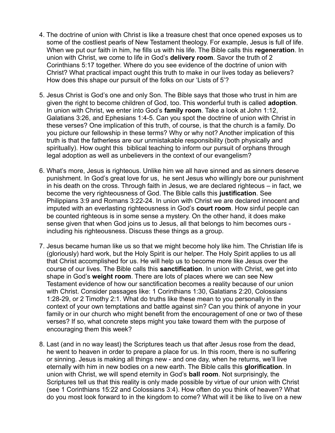- 4. The doctrine of union with Christ is like a treasure chest that once opened exposes us to some of the costliest pearls of New Testament theology. For example, Jesus is full of life. When we put our faith in him, he fills us with his life. The Bible calls this **regeneration**. In union with Christ, we come to life in God's **delivery room**. Savor the truth of 2 Corinthians 5:17 together. Where do you see evidence of the doctrine of union with Christ? What practical impact ought this truth to make in our lives today as believers? How does this shape our pursuit of the folks on our 'Lists of 5'?
- 5. Jesus Christ is God's one and only Son. The Bible says that those who trust in him are given the right to become children of God, too. This wonderful truth is called **adoption**. In union with Christ, we enter into God's **family room**. Take a look at John 1:12, Galatians 3:26, and Ephesians 1:4-5. Can you spot the doctrine of union with Christ in these verses? One implication of this truth, of course, is that the church is a family. Do you picture our fellowship in these terms? Why or why not? Another implication of this truth is that the fatherless are our unmistakable responsibility (both physically and spiritually). How ought this biblical teaching to inform our pursuit of orphans through legal adoption as well as unbelievers in the context of our evangelism?
- 6. What's more, Jesus is righteous. Unlike him we all have sinned and as sinners deserve punishment. In God's great love for us, he sent Jesus who willingly bore our punishment in his death on the cross. Through faith in Jesus, we are declared righteous – in fact, we become the very righteousness of God. The Bible calls this **justification**. See Philippians 3:9 and Romans 3:22-24. In union with Christ we are declared innocent and imputed with an everlasting righteousness in God's **court room**. How sinful people can be counted righteous is in some sense a mystery. On the other hand, it does make sense given that when God joins us to Jesus, all that belongs to him becomes ours including his righteousness. Discuss these things as a group.
- 7. Jesus became human like us so that we might become holy like him. The Christian life is (gloriously) hard work, but the Holy Spirit is our helper. The Holy Spirit applies to us all that Christ accomplished for us. He will help us to become more like Jesus over the course of our lives. The Bible calls this **sanctification**. In union with Christ, we get into shape in God's **weight room**. There are lots of places where we can see New Testament evidence of how our sanctification becomes a reality because of our union with Christ. Consider passages like: 1 Corinthians 1:30, Galatians 2:20, Colossians 1:28-29, or 2 Timothy 2:1. What do truths like these mean to you personally in the context of your own temptations and battle against sin? Can you think of anyone in your family or in our church who might benefit from the encouragement of one or two of these verses? If so, what concrete steps might you take toward them with the purpose of encouraging them this week?
- 8. Last (and in no way least) the Scriptures teach us that after Jesus rose from the dead, he went to heaven in order to prepare a place for us. In this room, there is no suffering or sinning. Jesus is making all things new - and one day, when he returns, we'll live eternally with him in new bodies on a new earth. The Bible calls this **glorification**. In union with Christ, we will spend eternity in God's **ball room**. Not surprisingly, the Scriptures tell us that this reality is only made possible by virtue of our union with Christ (see 1 Corinthians 15:22 and Colossians 3:4). How often do you think of heaven? What do you most look forward to in the kingdom to come? What will it be like to live on a new